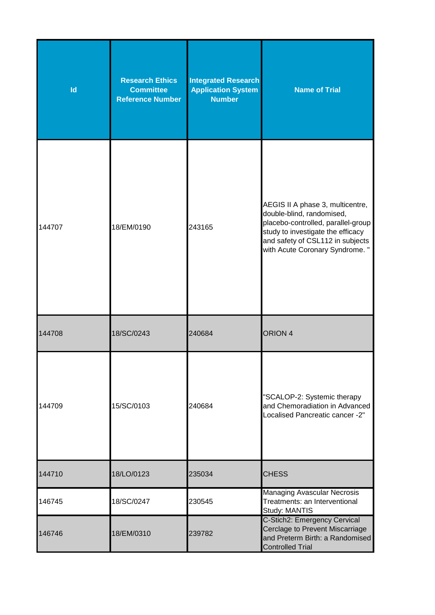| Id     | <b>Research Ethics</b><br><b>Committee</b><br><b>Reference Number</b> | <b>Integrated Research</b><br><b>Application System</b><br><b>Number</b> | <b>Name of Trial</b>                                                                                                                                                                                           |
|--------|-----------------------------------------------------------------------|--------------------------------------------------------------------------|----------------------------------------------------------------------------------------------------------------------------------------------------------------------------------------------------------------|
| 144707 | 18/EM/0190                                                            | 243165                                                                   | AEGIS II A phase 3, multicentre,<br>double-blind, randomised,<br>placebo-controlled, parallel-group<br>study to investigate the efficacy<br>and safety of CSL112 in subjects<br>with Acute Coronary Syndrome." |
| 144708 | 18/SC/0243                                                            | 240684                                                                   | ORION <sub>4</sub>                                                                                                                                                                                             |
| 144709 | 15/SC/0103                                                            | 240684                                                                   | "SCALOP-2: Systemic therapy<br>and Chemoradiation in Advanced<br>Localised Pancreatic cancer -2"                                                                                                               |
| 144710 | 18/LO/0123                                                            | 235034                                                                   | <b>CHESS</b>                                                                                                                                                                                                   |
| 146745 | 18/SC/0247                                                            | 230545                                                                   | <b>Managing Avascular Necrosis</b><br>Treatments: an Interventional<br>Study: MANTIS                                                                                                                           |
| 146746 | 18/EM/0310                                                            | 239782                                                                   | C-Stich2: Emergency Cervical<br>Cerclage to Prevent Miscarriage<br>and Preterm Birth: a Randomised<br><b>Controlled Trial</b>                                                                                  |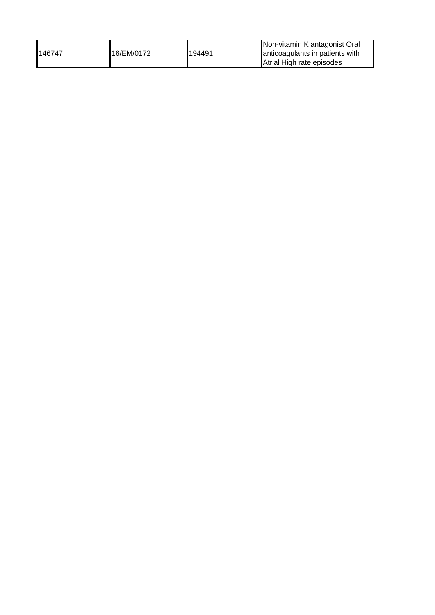| 146747 | 16/EM/0172 | 194491 | Non-vitamin K antagonist Oral<br>anticoagulants in patients with |
|--------|------------|--------|------------------------------------------------------------------|
|        |            |        | Atrial High rate episodes                                        |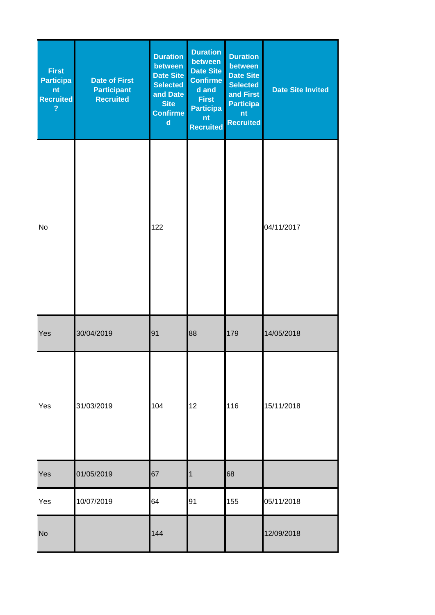| <b>First</b><br><b>Participa</b><br>nt<br><b>Recruited</b><br>$\overline{?}$ | <b>Date of First</b><br><b>Participant</b><br><b>Recruited</b> | <b>Duration</b><br>between<br>Date Site<br><b>Selected</b><br>and Date<br><b>Site</b><br><b>Confirme</b><br>$\mathbf d$ | <b>Duration</b><br>between<br><b>Date Site</b><br><b>Confirme</b><br>d and<br><b>First</b><br><b>Participa</b><br>nt<br><b>Recruited</b> | <b>Duration</b><br>between<br><b>Date Site</b><br><b>Selected</b><br>and First<br><b>Participa</b><br>nt<br><b>Recruited</b> | <b>Date Site Invited</b> |
|------------------------------------------------------------------------------|----------------------------------------------------------------|-------------------------------------------------------------------------------------------------------------------------|------------------------------------------------------------------------------------------------------------------------------------------|------------------------------------------------------------------------------------------------------------------------------|--------------------------|
| No                                                                           |                                                                | 122                                                                                                                     |                                                                                                                                          |                                                                                                                              | 04/11/2017               |
| Yes                                                                          | 30/04/2019                                                     | 91                                                                                                                      | 88                                                                                                                                       | 179                                                                                                                          | 14/05/2018               |
| Yes                                                                          | 31/03/2019                                                     | 104                                                                                                                     | 12                                                                                                                                       | 116                                                                                                                          | 15/11/2018               |
| Yes                                                                          | 01/05/2019                                                     | 67                                                                                                                      | 1                                                                                                                                        | 68                                                                                                                           |                          |
| Yes                                                                          | 10/07/2019                                                     | 64                                                                                                                      | 91                                                                                                                                       | 155                                                                                                                          | 05/11/2018               |
| <b>No</b>                                                                    |                                                                | 144                                                                                                                     |                                                                                                                                          |                                                                                                                              | 12/09/2018               |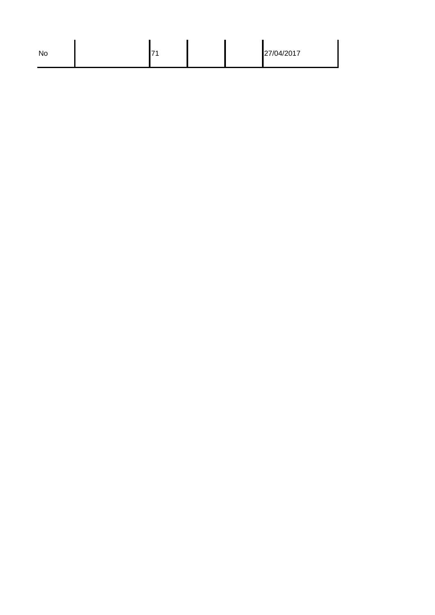| No |  | ÷. |  |  | 27/04/2017 |
|----|--|----|--|--|------------|
|----|--|----|--|--|------------|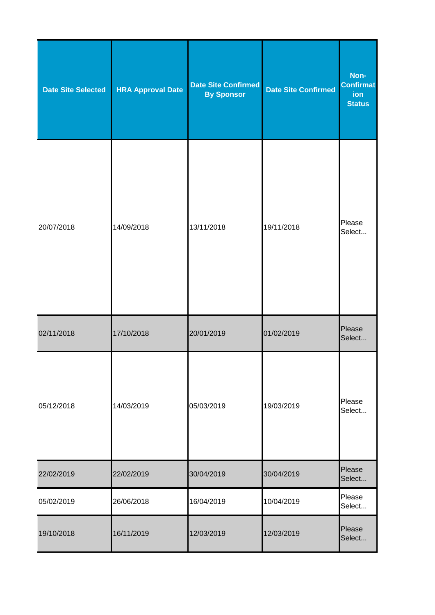| <b>Date Site Selected</b> | <b>HRA Approval Date</b> | <b>Date Site Confirmed</b><br><b>By Sponsor</b> | <b>Date Site Confirmed</b> | Non-<br><b>Confirmat</b><br>ion<br><b>Status</b> |
|---------------------------|--------------------------|-------------------------------------------------|----------------------------|--------------------------------------------------|
| 20/07/2018                | 14/09/2018               | 13/11/2018                                      | 19/11/2018                 | Please<br>Select                                 |
| 02/11/2018                | 17/10/2018               | 20/01/2019                                      | 01/02/2019                 | Please<br>Select                                 |
| 05/12/2018                | 14/03/2019               | 05/03/2019                                      | 19/03/2019                 | Please<br>Select                                 |
| 22/02/2019                | 22/02/2019               | 30/04/2019                                      | 30/04/2019                 | Please<br>Select                                 |
| 05/02/2019                | 26/06/2018               | 16/04/2019                                      | 10/04/2019                 | Please<br>Select                                 |
| 19/10/2018                | 16/11/2019               | 12/03/2019                                      | 12/03/2019                 | Please<br>Select                                 |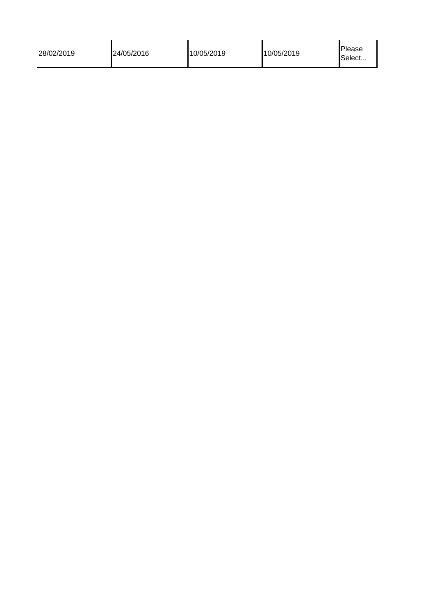| 28/02/2019 | 24/05/2016 | 10/05/2019 | 10/05/2019 | Please<br>Select |
|------------|------------|------------|------------|------------------|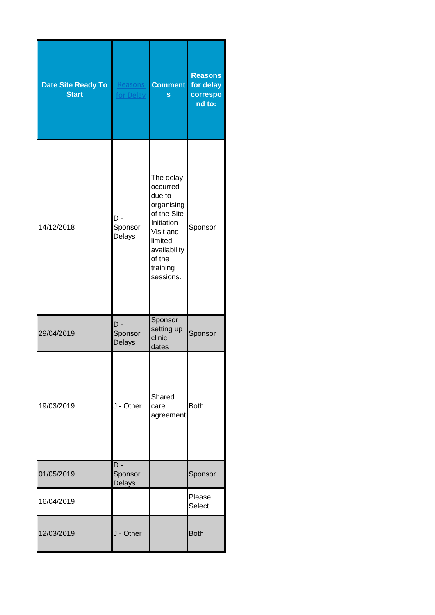| <b>Date Site Ready To</b><br><b>Start</b> | Reasons<br>for Delay            | <b>Comment</b><br>S                                                                                                                                   | <b>Reasons</b><br>for delay<br>correspo<br>nd to: |
|-------------------------------------------|---------------------------------|-------------------------------------------------------------------------------------------------------------------------------------------------------|---------------------------------------------------|
| 14/12/2018                                | D -<br>Sponsor<br>Delays        | The delay<br>occurred<br>due to<br>organising<br>of the Site<br>Initiation<br>Visit and<br>limited<br>availability<br>of the<br>training<br>sessions. | Sponsor                                           |
| 29/04/2019                                | D -<br>Sponsor<br>Delays        | Sponsor<br>setting up<br>clinic<br>dates                                                                                                              | Sponsor                                           |
| 19/03/2019                                | J - Other                       | Shared<br>care<br>agreement                                                                                                                           | <b>Both</b>                                       |
| 01/05/2019                                | D -<br>Sponsor<br><b>Delays</b> |                                                                                                                                                       | Sponsor                                           |
| 16/04/2019                                |                                 |                                                                                                                                                       | Please<br>Select                                  |
| 12/03/2019                                | J - Other                       |                                                                                                                                                       | <b>Both</b>                                       |